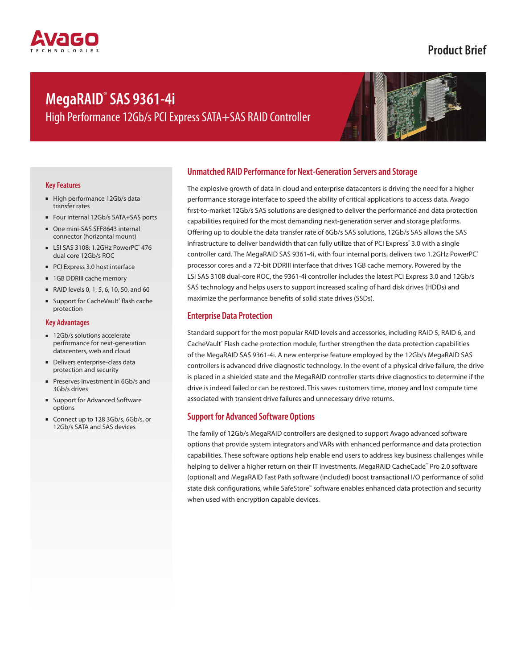## **Product Brief**

# **MegaRAID® SAS 9361-4i**

High Performance 12Gb/s PCI Express SATA+SAS RAID Controller



#### **Key Features**

- High performance 12Gb/s data transfer rates
- Four internal 12Gb/s SATA+SAS ports
- One mini-SAS SFF8643 internal connector (horizontal mount)
- LSI SAS 3108: 1.2GHz PowerPC<sup>®</sup> 476 dual core 12Gb/s ROC
- PCI Express 3.0 host interface
- 1GB DDRIII cache memory
- RAID levels 0, 1, 5, 6, 10, 50, and 60
- Support for CacheVault® flash cache protection

#### **Key Advantages**

- 12Gb/s solutions accelerate performance for next-generation datacenters, web and cloud
- Delivers enterprise-class data protection and security
- Preserves investment in 6Gb/s and 3Gb/s drives
- Support for Advanced Software options
- Connect up to 128 3Gb/s, 6Gb/s, or 12Gb/s SATA and SAS devices

### **Unmatched RAID Performance for Next-Generation Servers and Storage**

The explosive growth of data in cloud and enterprise datacenters is driving the need for a higher performance storage interface to speed the ability of critical applications to access data. Avago first-to-market 12Gb/s SAS solutions are designed to deliver the performance and data protection capabilities required for the most demanding next-generation server and storage platforms. Offering up to double the data transfer rate of 6Gb/s SAS solutions, 12Gb/s SAS allows the SAS infrastructure to deliver bandwidth that can fully utilize that of PCI Express° 3.0 with a single controller card. The MegaRAID SAS 9361-4i, with four internal ports, delivers two 1.2GHz PowerPC® processor cores and a 72-bit DDRIII interface that drives 1GB cache memory. Powered by the LSI SAS 3108 dual-core ROC, the 9361-4i controller includes the latest PCI Express 3.0 and 12Gb/s SAS technology and helps users to support increased scaling of hard disk drives (HDDs) and maximize the performance benefits of solid state drives (SSDs).

### **Enterprise Data Protection**

Standard support for the most popular RAID levels and accessories, including RAID 5, RAID 6, and CacheVault® Flash cache protection module, further strengthen the data protection capabilities of the MegaRAID SAS 9361-4i. A new enterprise feature employed by the 12Gb/s MegaRAID SAS controllers is advanced drive diagnostic technology. In the event of a physical drive failure, the drive is placed in a shielded state and the MegaRAID controller starts drive diagnostics to determine if the drive is indeed failed or can be restored. This saves customers time, money and lost compute time associated with transient drive failures and unnecessary drive returns.

### **Support for Advanced Software Options**

The family of 12Gb/s MegaRAID controllers are designed to support Avago advanced software options that provide system integrators and VARs with enhanced performance and data protection capabilities. These software options help enable end users to address key business challenges while helping to deliver a higher return on their IT investments. MegaRAID CacheCade™ Pro 2.0 software (optional) and MegaRAID Fast Path software (included) boost transactional I/O performance of solid state disk configurations, while SafeStore™ software enables enhanced data protection and security when used with encryption capable devices.